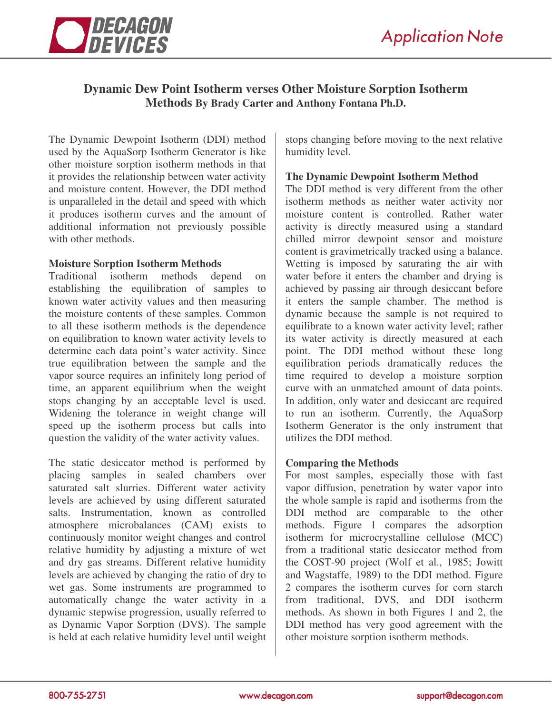

# **Dynamic Dew Point Isotherm verses Other Moisture Sorption Isotherm Methods By Brady Carter and Anthony Fontana Ph.D.**

The Dynamic Dewpoint Isotherm (DDI) method used by the AquaSorp Isotherm Generator is like other moisture sorption isotherm methods in that it provides the relationship between water activity and moisture content. However, the DDI method is unparalleled in the detail and speed with which it produces isotherm curves and the amount of additional information not previously possible with other methods.

## **Moisture Sorption Isotherm Methods**

Traditional isotherm methods depend on establishing the equilibration of samples to known water activity values and then measuring the moisture contents of these samples. Common to all these isotherm methods is the dependence on equilibration to known water activity levels to determine each data point's water activity. Since true equilibration between the sample and the vapor source requires an infinitely long period of time, an apparent equilibrium when the weight stops changing by an acceptable level is used. Widening the tolerance in weight change will speed up the isotherm process but calls into question the validity of the water activity values.

The static desiccator method is performed by placing samples in sealed chambers over saturated salt slurries. Different water activity levels are achieved by using different saturated salts. Instrumentation, known as controlled atmosphere microbalances (CAM) exists to continuously monitor weight changes and control relative humidity by adjusting a mixture of wet and dry gas streams. Different relative humidity levels are achieved by changing the ratio of dry to wet gas. Some instruments are programmed to automatically change the water activity in a dynamic stepwise progression, usually referred to as Dynamic Vapor Sorption (DVS). The sample is held at each relative humidity level until weight stops changing before moving to the next relative humidity level.

## **The Dynamic Dewpoint Isotherm Method**

The DDI method is very different from the other isotherm methods as neither water activity nor moisture content is controlled. Rather water activity is directly measured using a standard chilled mirror dewpoint sensor and moisture content is gravimetrically tracked using a balance. Wetting is imposed by saturating the air with water before it enters the chamber and drying is achieved by passing air through desiccant before it enters the sample chamber. The method is dynamic because the sample is not required to equilibrate to a known water activity level; rather its water activity is directly measured at each point. The DDI method without these long equilibration periods dramatically reduces the time required to develop a moisture sorption curve with an unmatched amount of data points. In addition, only water and desiccant are required to run an isotherm. Currently, the AquaSorp Isotherm Generator is the only instrument that utilizes the DDI method.

# **Comparing the Methods**

For most samples, especially those with fast vapor diffusion, penetration by water vapor into the whole sample is rapid and isotherms from the DDI method are comparable to the other methods. Figure 1 compares the adsorption isotherm for microcrystalline cellulose (MCC) from a traditional static desiccator method from the COST-90 project (Wolf et al., 1985; Jowitt and Wagstaffe, 1989) to the DDI method. Figure 2 compares the isotherm curves for corn starch from traditional, DVS, and DDI isotherm methods. As shown in both Figures 1 and 2, the DDI method has very good agreement with the other moisture sorption isotherm methods.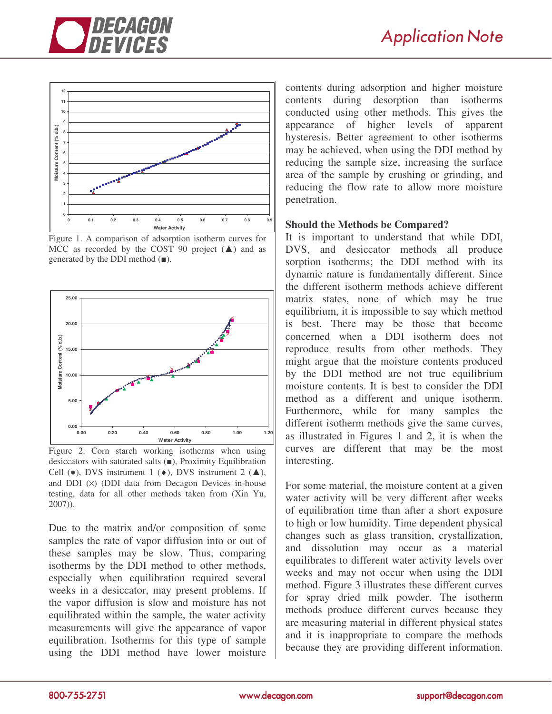



Figure 1. A comparison of adsorption isotherm curves for MCC as recorded by the COST 90 project  $(\triangle)$  and as generated by the DDI method  $($  $\blacksquare$ ).



Figure 2. Corn starch working isotherms when using desiccators with saturated salts  $(\blacksquare)$ , Proximity Equilibration Cell  $(\bullet)$ , DVS instrument 1  $(\bullet)$ , DVS instrument 2  $(\blacktriangle)$ , and DDI  $(x)$  (DDI data from Decagon Devices in-house testing, data for all other methods taken from (Xin Yu, 2007)).

Due to the matrix and/or composition of some samples the rate of vapor diffusion into or out of these samples may be slow. Thus, comparing isotherms by the DDI method to other methods, especially when equilibration required several weeks in a desiccator, may present problems. If the vapor diffusion is slow and moisture has not equilibrated within the sample, the water activity measurements will give the appearance of vapor equilibration. Isotherms for this type of sample using the DDI method have lower moisture

contents during adsorption and higher moisture contents during desorption than isotherms conducted using other methods. This gives the appearance of higher levels of apparent hysteresis. Better agreement to other isotherms may be achieved, when using the DDI method by reducing the sample size, increasing the surface area of the sample by crushing or grinding, and reducing the flow rate to allow more moisture penetration.

#### **Should the Methods be Compared?**

It is important to understand that while DDI, DVS, and desiccator methods all produce sorption isotherms; the DDI method with its dynamic nature is fundamentally different. Since the different isotherm methods achieve different matrix states, none of which may be true equilibrium, it is impossible to say which method is best. There may be those that become concerned when a DDI isotherm does not reproduce results from other methods. They might argue that the moisture contents produced by the DDI method are not true equilibrium moisture contents. It is best to consider the DDI method as a different and unique isotherm. Furthermore, while for many samples the different isotherm methods give the same curves, as illustrated in Figures 1 and 2, it is when the curves are different that may be the most interesting.

For some material, the moisture content at a given water activity will be very different after weeks of equilibration time than after a short exposure to high or low humidity. Time dependent physical changes such as glass transition, crystallization, and dissolution may occur as a material equilibrates to different water activity levels over weeks and may not occur when using the DDI method. Figure 3 illustrates these different curves for spray dried milk powder. The isotherm methods produce different curves because they are measuring material in different physical states and it is inappropriate to compare the methods because they are providing different information.